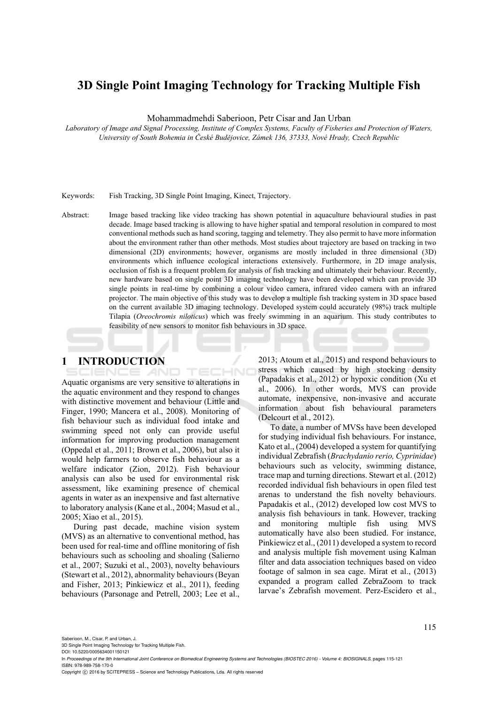# **3D Single Point Imaging Technology for Tracking Multiple Fish**

Mohammadmehdi Saberioon, Petr Cisar and Jan Urban

*Laboratory of Image and Signal Processing, Institute of Complex Systems, Faculty of Fisheries and Protection of Waters, University of South Bohemia in České Budějovice, Zámek 136, 37333, Nové Hrady, Czech Republic* 

#### Keywords: Fish Tracking, 3D Single Point Imaging, Kinect, Trajectory.

Abstract: Image based tracking like video tracking has shown potential in aquaculture behavioural studies in past decade. Image based tracking is allowing to have higher spatial and temporal resolution in compared to most conventional methods such as hand scoring, tagging and telemetry. They also permit to have more information about the environment rather than other methods. Most studies about trajectory are based on tracking in two dimensional (2D) environments; however, organisms are mostly included in three dimensional (3D) environments which influence ecological interactions extensively. Furthermore, in 2D image analysis, occlusion of fish is a frequent problem for analysis of fish tracking and ultimately their behaviour. Recently, new hardware based on single point 3D imaging technology have been developed which can provide 3D single points in real-time by combining a colour video camera, infrared video camera with an infrared projector. The main objective of this study was to develop a multiple fish tracking system in 3D space based on the current available 3D imaging technology. Developed system could accurately (98%) track multiple Tilapia (*Oreochromis niloticus*) which was freely swimming in an aquarium. This study contributes to feasibility of new sensors to monitor fish behaviours in 3D space.

HNO

# **1 INTRODUCTION**

Aquatic organisms are very sensitive to alterations in the aquatic environment and they respond to changes with distinctive movement and behaviour (Little and Finger, 1990; Mancera et al., 2008). Monitoring of fish behaviour such as individual food intake and swimming speed not only can provide useful information for improving production management (Oppedal et al., 2011; Brown et al., 2006), but also it would help farmers to observe fish behaviour as a welfare indicator (Zion, 2012). Fish behaviour analysis can also be used for environmental risk assessment, like examining presence of chemical agents in water as an inexpensive and fast alternative to laboratory analysis (Kane et al., 2004; Masud et al., 2005; Xiao et al., 2015).

**AND** 

During past decade, machine vision system (MVS) as an alternative to conventional method, has been used for real-time and offline monitoring of fish behaviours such as schooling and shoaling (Salierno et al., 2007; Suzuki et al., 2003), novelty behaviours (Stewart et al., 2012), abnormality behaviours (Beyan and Fisher, 2013; Pinkiewicz et al., 2011), feeding behaviours (Parsonage and Petrell, 2003; Lee et al.,

2013; Atoum et al., 2015) and respond behaviours to stress which caused by high stocking density (Papadakis et al., 2012) or hypoxic condition (Xu et al., 2006). In other words, MVS can provide automate, inexpensive, non-invasive and accurate information about fish behavioural parameters (Delcourt et al., 2012).

To date, a number of MVSs have been developed for studying individual fish behaviours. For instance, Kato et al., (2004) developed a system for quantifying individual Zebrafish (*Brachydanio rerio, Cyprinidae*) behaviours such as velocity, swimming distance, trace map and turning directions. Stewart et al. (2012) recorded individual fish behaviours in open filed test arenas to understand the fish novelty behaviours. Papadakis et al., (2012) developed low cost MVS to analysis fish behaviours in tank. However, tracking and monitoring multiple fish using MVS automatically have also been studied. For instance, Pinkiewicz et al., (2011) developed a system to record and analysis multiple fish movement using Kalman filter and data association techniques based on video footage of salmon in sea cage. Mirat et al., (2013) expanded a program called ZebraZoom to track larvae's Zebrafish movement. Perz-Escidero et al.,

Saberioon, M., Cisar, P. and Urban, J.

3D Single Point Imaging Technology for Tracking Multiple Fish.

Copyright (C) 2016 by SCITEPRESS - Science and Technology Publications, Lda. All rights reserved

DOI: 10.5220/0005634001150121 In *Proceedings of the 9th International Joint Conference on Biomedical Engineering Systems and Technologies (BIOSTEC 2016) - Volume 4: BIOSIGNALS*, pages 115-121 ISBN: 978-989-758-170-0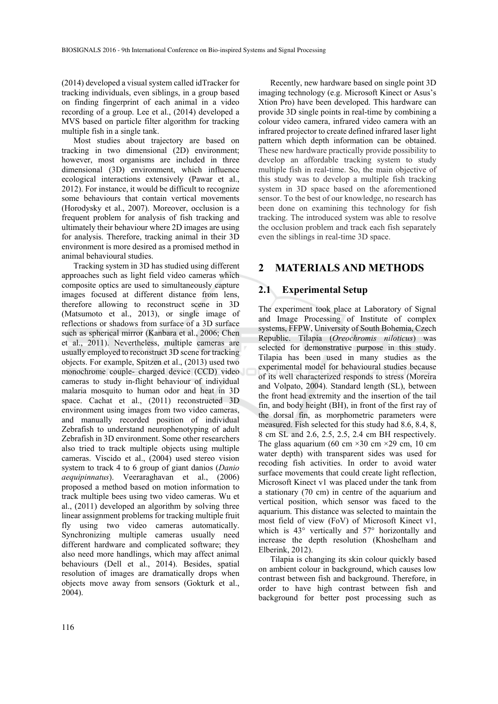(2014) developed a visual system called idTracker for tracking individuals, even siblings, in a group based on finding fingerprint of each animal in a video recording of a group. Lee et al., (2014) developed a MVS based on particle filter algorithm for tracking multiple fish in a single tank.

Most studies about trajectory are based on tracking in two dimensional (2D) environment; however, most organisms are included in three dimensional (3D) environment, which influence ecological interactions extensively (Pawar et al., 2012). For instance, it would be difficult to recognize some behaviours that contain vertical movements (Horodysky et al., 2007). Moreover, occlusion is a frequent problem for analysis of fish tracking and ultimately their behaviour where 2D images are using for analysis. Therefore, tracking animal in their 3D environment is more desired as a promised method in animal behavioural studies.

Tracking system in 3D has studied using different approaches such as light field video cameras which composite optics are used to simultaneously capture images focused at different distance from lens, therefore allowing to reconstruct scene in 3D (Matsumoto et al., 2013), or single image of reflections or shadows from surface of a 3D surface such as spherical mirror (Kanbara et al., 2006; Chen et al., 2011). Nevertheless, multiple cameras are usually employed to reconstruct 3D scene for tracking objects. For example, Spitzen et al., (2013) used two monochrome couple- charged device (CCD) video cameras to study in-flight behaviour of individual malaria mosquito to human odor and heat in 3D space. Cachat et al., (2011) reconstructed 3D environment using images from two video cameras, and manually recorded position of individual Zebrafish to understand neurophenotyping of adult Zebrafish in 3D environment. Some other researchers also tried to track multiple objects using multiple cameras. Viscido et al., (2004) used stereo vision system to track 4 to 6 group of giant danios (*Danio aequipinnatus*). Veeraraghavan et al., (2006) proposed a method based on motion information to track multiple bees using two video cameras. Wu et al., (2011) developed an algorithm by solving three linear assignment problems for tracking multiple fruit fly using two video cameras automatically. Synchronizing multiple cameras usually need different hardware and complicated software; they also need more handlings, which may affect animal behaviours (Dell et al., 2014). Besides, spatial resolution of images are dramatically drops when objects move away from sensors (Gokturk et al., 2004).

Recently, new hardware based on single point 3D imaging technology (e.g. Microsoft Kinect or Asus's Xtion Pro) have been developed. This hardware can provide 3D single points in real-time by combining a colour video camera, infrared video camera with an infrared projector to create defined infrared laser light pattern which depth information can be obtained. These new hardware practically provide possibility to develop an affordable tracking system to study multiple fish in real-time. So, the main objective of this study was to develop a multiple fish tracking system in 3D space based on the aforementioned sensor. To the best of our knowledge, no research has been done on examining this technology for fish tracking. The introduced system was able to resolve the occlusion problem and track each fish separately even the siblings in real-time 3D space.

# **2 MATERIALS AND METHODS**

### **2.1 Experimental Setup**

The experiment took place at Laboratory of Signal and Image Processing of Institute of complex systems, FFPW, University of South Bohemia, Czech Republic. Tilapia (*Oreochromis niloticus*) was selected for demonstrative purpose in this study. Tilapia has been used in many studies as the experimental model for behavioural studies because of its well characterized responds to stress (Moreira and Volpato, 2004). Standard length (SL), between the front head extremity and the insertion of the tail fin, and body height (BH), in front of the first ray of the dorsal fin, as morphometric parameters were measured. Fish selected for this study had 8.6, 8.4, 8, 8 cm SL and 2.6, 2.5, 2.5, 2.4 cm BH respectively. The glass aquarium (60 cm  $\times$ 30 cm  $\times$ 29 cm, 10 cm water depth) with transparent sides was used for recoding fish activities. In order to avoid water surface movements that could create light reflection, Microsoft Kinect v1 was placed under the tank from a stationary (70 cm) in centre of the aquarium and vertical position, which sensor was faced to the aquarium. This distance was selected to maintain the most field of view (FoV) of Microsoft Kinect v1, which is 43° vertically and 57° horizontally and increase the depth resolution (Khoshelham and Elberink, 2012).

Tilapia is changing its skin colour quickly based on ambient colour in background, which causes low contrast between fish and background. Therefore, in order to have high contrast between fish and background for better post processing such as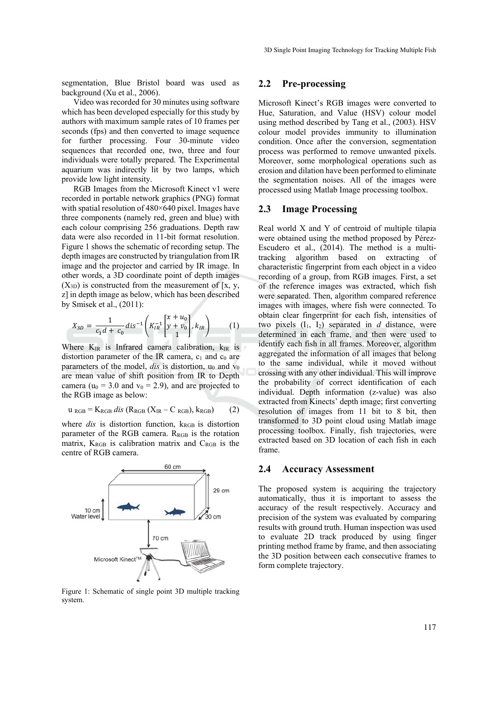segmentation, Blue Bristol board was used as background (Xu et al., 2006).

Video was recorded for 30 minutes using software which has been developed especially for this study by authors with maximum sample rates of 10 frames per seconds (fps) and then converted to image sequence for further processing. Four 30-minute video sequences that recorded one, two, three and four individuals were totally prepared. The Experimental aquarium was indirectly lit by two lamps, which provide low light intensity.

RGB Images from the Microsoft Kinect v1 were recorded in portable network graphics (PNG) format with spatial resolution of 480×640 pixel. Images have three components (namely red, green and blue) with each colour comprising 256 graduations. Depth raw data were also recorded in 11-bit format resolution. Figure 1 shows the schematic of recording setup. The depth images are constructed by triangulation from IR image and the projector and carried by IR image. In other words, a 3D coordinate point of depth images  $(X_{3D})$  is constructed from the measurement of [x, y, z] in depth image as below, which has been described by Smisek et al., (2011):

$$
X_{3D} = \frac{1}{c_1 d + c_0} \, \text{dis}^{-1} \left( K_{IR}^{-1} \begin{bmatrix} x + u_0 \\ y + v_0 \end{bmatrix}, k_{IR} \right) \tag{1}
$$

Where  $K_{IR}$  is Infrared camera calibration,  $k_{IR}$  is distortion parameter of the IR camera,  $c_1$  and  $c_0$  are parameters of the model, *dis* is distortion,  $u_0$  and  $v_0$ are mean value of shift position from IR to Depth camera ( $u_0$  = 3.0 and  $v_0$  = 2.9), and are projected to the RGB image as below:

$$
u_{RGB} = K_{RGB} dis (R_{RGB} (X_{IR} - C_{RGB}), k_{RGB}) (2)
$$

where *dis* is distortion function, k<sub>RGB</sub> is distortion parameter of the RGB camera.  $R_{RGB}$  is the rotation matrix,  $K_{RGB}$  is calibration matrix and  $C_{RGB}$  is the centre of RGB camera.



Figure 1: Schematic of single point 3D multiple tracking system.

#### **2.2 Pre-processing**

Microsoft Kinect's RGB images were converted to Hue, Saturation, and Value (HSV) colour model using method described by Tang et al., (2003). HSV colour model provides immunity to illumination condition. Once after the conversion, segmentation process was performed to remove unwanted pixels. Moreover, some morphological operations such as erosion and dilation have been performed to eliminate the segmentation noises. All of the images were processed using Matlab Image processing toolbox.

#### **2.3 Image Processing**

Real world X and Y of centroid of multiple tilapia were obtained using the method proposed by Pérez-Escudero et al., (2014). The method is a multitracking algorithm based on extracting of characteristic fingerprint from each object in a video recording of a group, from RGB images. First, a set of the reference images was extracted, which fish were separated. Then, algorithm compared reference images with images, where fish were connected. To obtain clear fingerprint for each fish, intensities of two pixels  $(I_1, I_2)$  separated in *d* distance, were determined in each frame, and then were used to identify each fish in all frames. Moreover, algorithm aggregated the information of all images that belong to the same individual, while it moved without crossing with any other individual. This will improve the probability of correct identification of each individual. Depth information (z-value) was also extracted from Kinects' depth image; first converting resolution of images from 11 bit to 8 bit, then transformed to 3D point cloud using Matlab image processing toolbox. Finally, fish trajectories, were extracted based on 3D location of each fish in each frame.

#### **2.4 Accuracy Assessment**

The proposed system is acquiring the trajectory automatically, thus it is important to assess the accuracy of the result respectively. Accuracy and precision of the system was evaluated by comparing results with ground truth. Human inspection was used to evaluate 2D track produced by using finger printing method frame by frame, and then associating the 3D position between each consecutive frames to form complete trajectory.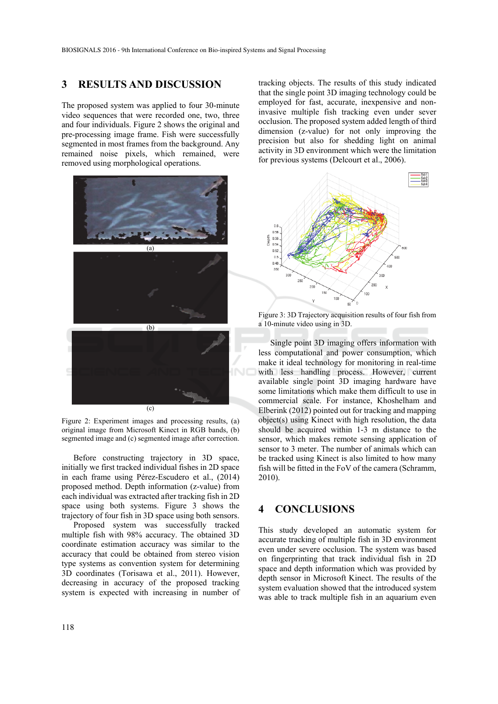### **3 RESULTS AND DISCUSSION**

The proposed system was applied to four 30-minute video sequences that were recorded one, two, three and four individuals. Figure 2 shows the original and pre-processing image frame. Fish were successfully segmented in most frames from the background. Any remained noise pixels, which remained, were removed using morphological operations.



Figure 2: Experiment images and processing results, (a) original image from Microsoft Kinect in RGB bands, (b) segmented image and (c) segmented image after correction.

Before constructing trajectory in 3D space, initially we first tracked individual fishes in 2D space in each frame using Pérez-Escudero et al., (2014) proposed method. Depth information (z-value) from each individual was extracted after tracking fish in 2D space using both systems. Figure 3 shows the trajectory of four fish in 3D space using both sensors.

Proposed system was successfully tracked multiple fish with 98% accuracy. The obtained 3D coordinate estimation accuracy was similar to the accuracy that could be obtained from stereo vision type systems as convention system for determining 3D coordinates (Torisawa et al., 2011). However, decreasing in accuracy of the proposed tracking system is expected with increasing in number of

tracking objects. The results of this study indicated that the single point 3D imaging technology could be employed for fast, accurate, inexpensive and noninvasive multiple fish tracking even under sever occlusion. The proposed system added length of third dimension (z-value) for not only improving the precision but also for shedding light on animal activity in 3D environment which were the limitation for previous systems (Delcourt et al., 2006).



Figure 3: 3D Trajectory acquisition results of four fish from a 10-minute video using in 3D.

Single point 3D imaging offers information with less computational and power consumption, which make it ideal technology for monitoring in real-time with less handling process. However, current available single point 3D imaging hardware have some limitations which make them difficult to use in commercial scale. For instance, Khoshelham and Elberink (2012) pointed out for tracking and mapping object(s) using Kinect with high resolution, the data should be acquired within 1-3 m distance to the sensor, which makes remote sensing application of sensor to 3 meter. The number of animals which can be tracked using Kinect is also limited to how many fish will be fitted in the FoV of the camera (Schramm, 2010).

# **4 CONCLUSIONS**

This study developed an automatic system for accurate tracking of multiple fish in 3D environment even under severe occlusion. The system was based on fingerprinting that track individual fish in 2D space and depth information which was provided by depth sensor in Microsoft Kinect. The results of the system evaluation showed that the introduced system was able to track multiple fish in an aquarium even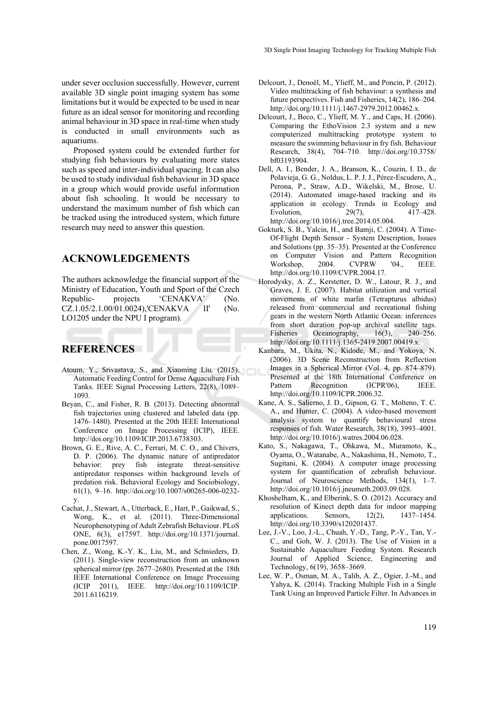under sever occlusion successfully. However, current available 3D single point imaging system has some limitations but it would be expected to be used in near future as an ideal sensor for monitoring and recording animal behaviour in 3D space in real-time when study is conducted in small environments such as aquariums.

Proposed system could be extended further for studying fish behaviours by evaluating more states such as speed and inter-individual spacing. It can also be used to study individual fish behaviour in 3D space in a group which would provide useful information about fish schooling. It would be necessary to understand the maximum number of fish which can be tracked using the introduced system, which future research may need to answer this question.

### **ACKNOWLEDGEMENTS**

The authors acknowledge the financial support of the Ministry of Education, Youth and Sport of the Czech Republic- projects 'CENAKVA' (No. CZ.1.05/2.1.00/01.0024),'CENAKVA II' (No. LO1205 under the NPU I program).

# **REFERENCES**

- Atoum, Y., Srivastava, S., and Xiaoming Liu. (2015). Automatic Feeding Control for Dense Aquaculture Fish Tanks. IEEE Signal Processing Letters, 22(8), 1089– 1093.
- Beyan, C., and Fisher, R. B. (2013). Detecting abnormal fish trajectories using clustered and labeled data (pp. 1476–1480). Presented at the 20th IEEE International Conference on Image Processing (ICIP), IEEE. http://doi.org/10.1109/ICIP.2013.6738303.
- Brown, G. E., Rive, A. C., Ferrari, M. C. O., and Chivers, D. P. (2006). The dynamic nature of antipredator behavior: prey fish integrate threat-sensitive antipredator responses within background levels of predation risk. Behavioral Ecology and Sociobiology, 61(1), 9–16. http://doi.org/10.1007/s00265-006-0232 y.
- Cachat, J., Stewart, A., Utterback, E., Hart, P., Gaikwad, S., Wong, K., et al. (2011). Three-Dimensional Neurophenotyping of Adult Zebrafish Behaviour. PLoS ONE, 6(3), e17597. http://doi.org/10.1371/journal. pone.0017597.
- Chen, Z., Wong, K.-Y. K., Liu, M., and Schnieders, D. (2011). Single-view reconstruction from an unknown spherical mirror (pp. 2677–2680). Presented at the 18th IEEE International Conference on Image Processing (ICIP 2011), IEEE. http://doi.org/10.1109/ICIP. 2011.6116219.
- Delcourt, J., Denoël, M., Ylieff, M., and Poncin, P. (2012). Video multitracking of fish behaviour: a synthesis and future perspectives. Fish and Fisheries, 14(2), 186–204. http://doi.org/10.1111/j.1467-2979.2012.00462.x.
- Delcourt, J., Beco, C., Ylieff, M. Y., and Caps, H. (2006). Comparing the EthoVision 2.3 system and a new computerized multitracking prototype system to measure the swimming behaviour in fry fish. Behaviour Research, 38(4), 704–710. http://doi.org/10.3758/ bf03193904.
- Dell, A. I., Bender, J. A., Branson, K., Couzin, I. D., de Polavieja, G. G., Noldus, L. P. J. J., Pérez-Escudero, A., Perona, P., Straw, A.D., Wikelski, M., Brose, U. (2014). Automated image-based tracking and its application in ecology. Trends in Ecology and Evolution, 29(7), 417–428. http://doi.org/10.1016/j.tree.2014.05.004.
- Gokturk, S. B., Yalcin, H., and Bamji, C. (2004). A Time-Of-Flight Depth Sensor - System Description, Issues and Solutions (pp. 35–35). Presented at the Conference on Computer Vision and Pattern Recognition<br>Workshop. 2004. CVPRW '04., IEEE. Workshop, 2004. CVPRW '04., IEEE. http://doi.org/10.1109/CVPR.2004.17.
- Horodysky, A. Z., Kerstetter, D. W., Latour, R. J., and Graves, J. E. (2007). Habitat utilization and vertical movements of white marlin (Tetrapturus albidus) released from commercial and recreational fishing gears in the western North Atlantic Ocean: inferences from short duration pop-up archival satellite tags. Fisheries Oceanography, 16(3), 240–256. http://doi.org/10.1111/j.1365-2419.2007.00419.x.
- Kanbara, M., Ukita, N., Kidode, M., and Yokoya, N. (2006). 3D Scene Reconstruction from Reflection Images in a Spherical Mirror (Vol. 4, pp. 874–879). Presented at the 18th International Conference on Pattern Recognition (ICPR'06), IEEE. http://doi.org/10.1109/ICPR.2006.32.
- Kane, A. S., Salierno, J. D., Gipson, G. T., Molteno, T. C. A., and Hunter, C. (2004). A video-based movement analysis system to quantify behavioural stress responses of fish. Water Research, 38(18), 3993–4001. http://doi.org/10.1016/j.watres.2004.06.028.
- Kato, S., Nakagawa, T., Ohkawa, M., Muramoto, K., Oyama, O., Watanabe, A., Nakashima, H., Nemoto, T., Sugitani, K. (2004). A computer image processing system for quantification of zebrafish behaviour. Journal of Neuroscience Methods, 134(1), 1–7. http://doi.org/10.1016/j.jneumeth.2003.09.028.
- Khoshelham, K., and Elberink, S. O. (2012). Accuracy and resolution of Kinect depth data for indoor mapping applications. Sensors, 12(2), 1437–1454. http://doi.org/10.3390/s120201437.
- Lee, J.-V., Loo, J.-L., Chuah, Y.-D., Tang, P.-Y., Tan, Y.- C., and Goh, W. J. (2013). The Use of Vision in a Sustainable Aquaculture Feeding System. Research Journal of Applied Science, Engineering and Technology, 6(19), 3658–3669.
- Lee, W. P., Osman, M. A., Talib, A. Z., Ogier, J.-M., and Yahya, K. (2014). Tracking Multiple Fish in a Single Tank Using an Improved Particle Filter. In Advances in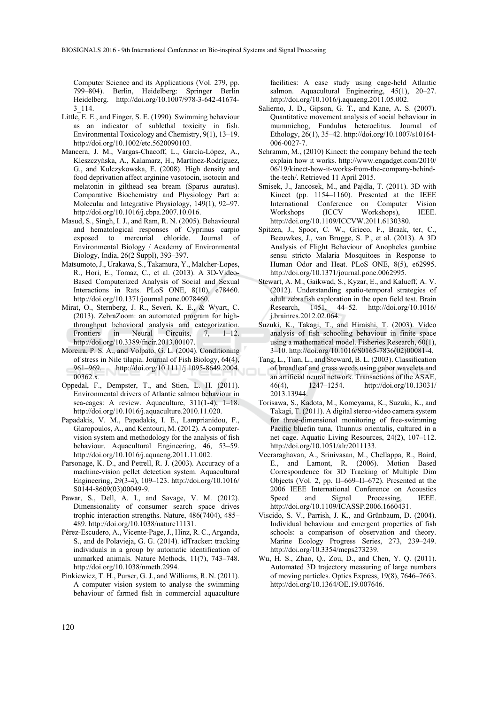Computer Science and its Applications (Vol. 279, pp. 799–804). Berlin, Heidelberg: Springer Berlin Heidelberg. http://doi.org/10.1007/978-3-642-41674- 3\_114.

- Little, E. E., and Finger, S. E. (1990). Swimming behaviour as an indicator of sublethal toxicity in fish. Environmental Toxicology and Chemistry, 9(1), 13–19. http://doi.org/10.1002/etc.5620090103.
- Mancera, J. M., Vargas-Chacoff, L., García-López, A., Kleszczyńska, A., Kalamarz, H., Martínez-Rodríguez, G., and Kulczykowska, E. (2008). High density and food deprivation affect arginine vasotocin, isotocin and melatonin in gilthead sea bream (Sparus auratus). Comparative Biochemistry and Physiology Part a: Molecular and Integrative Physiology, 149(1), 92–97. http://doi.org/10.1016/j.cbpa.2007.10.016.
- Masud, S., Singh, I. J., and Ram, R. N. (2005). Behavioural and hematological responses of Cyprinus carpio exposed to mercurial chloride. Journal of Environmental Biology / Academy of Environmental Biology, India, 26(2 Suppl), 393–397.
- Matsumoto, J., Urakawa, S., Takamura, Y., Malcher-Lopes, R., Hori, E., Tomaz, C., et al. (2013). A 3D-Video-Based Computerized Analysis of Social and Sexual Interactions in Rats. PLoS ONE, 8(10), e78460. http://doi.org/10.1371/journal.pone.0078460.
- Mirat, O., Sternberg, J. R., Severi, K. E., & Wyart, C. (2013). ZebraZoom: an automated program for highthroughput behavioral analysis and categorization. Frontiers in Neural Circuits, 7, 1–12. http://doi.org/10.3389/fncir.2013.00107.
- Moreira, P. S. A., and Volpato, G. L. (2004). Conditioning of stress in Nile tilapia. Journal of Fish Biology, 64(4), 961–969. http://doi.org/10.1111/j.1095-8649.2004. 00362.x.
- Oppedal, F., Dempster, T., and Stien, L. H. (2011). Environmental drivers of Atlantic salmon behaviour in sea-cages: A review. Aquaculture, 311(1-4), 1–18. http://doi.org/10.1016/j.aquaculture.2010.11.020.
- Papadakis, V. M., Papadakis, I. E., Lamprianidou, F., Glaropoulos, A., and Kentouri, M. (2012). A computervision system and methodology for the analysis of fish behaviour. Aquacultural Engineering, 46, 53–59. http://doi.org/10.1016/j.aquaeng.2011.11.002.
- Parsonage, K. D., and Petrell, R. J. (2003). Accuracy of a machine-vision pellet detection system. Aquacultural Engineering, 29(3-4), 109–123. http://doi.org/10.1016/ S0144-8609(03)00049-9.
- Pawar, S., Dell, A. I., and Savage, V. M. (2012). Dimensionality of consumer search space drives trophic interaction strengths. Nature, 486(7404), 485– 489. http://doi.org/10.1038/nature11131.
- Pérez-Escudero, A., Vicente-Page, J., Hinz, R. C., Arganda, S., and de Polavieja, G. G. (2014). idTracker: tracking individuals in a group by automatic identification of unmarked animals. Nature Methods, 11(7), 743–748. http://doi.org/10.1038/nmeth.2994.
- Pinkiewicz, T. H., Purser, G. J., and Williams, R. N. (2011). A computer vision system to analyse the swimming behaviour of farmed fish in commercial aquaculture

facilities: A case study using cage-held Atlantic salmon. Aquacultural Engineering, 45(1), 20–27. http://doi.org/10.1016/j.aquaeng.2011.05.002.

- Salierno, J. D., Gipson, G. T., and Kane, A. S. (2007). Quantitative movement analysis of social behaviour in mummichog, Fundulus heteroclitus. Journal of Ethology, 26(1), 35–42. http://doi.org/10.1007/s10164- 006-0027-7.
- Schramm, M., (2010) Kinect: the company behind the tech explain how it works. http://www.engadget.com/2010/ 06/19/kinect-how-it-works-from-the-company-behindthe-tech/. Retrieved 11 April 2015.
- Smisek, J., Jancosek, M., and Pajdla, T. (2011). 3D with Kinect (pp. 1154–1160). Presented at the IEEE International Conference on Computer Vision<br>Workshops (ICCV Workshops). IEEE. Workshops (ICCV Workshops), IEEE. http://doi.org/10.1109/ICCVW.2011.6130380.
- Spitzen, J., Spoor, C. W., Grieco, F., Braak, ter, C., Beeuwkes, J., van Brugge, S. P., et al. (2013). A 3D Analysis of Flight Behaviour of Anopheles gambiae sensu stricto Malaria Mosquitoes in Response to Human Odor and Heat. PLoS ONE, 8(5), e62995. http://doi.org/10.1371/journal.pone.0062995.
- Stewart, A. M., Gaikwad, S., Kyzar, E., and Kalueff, A. V. (2012). Understanding spatio-temporal strategies of adult zebrafish exploration in the open field test. Brain Research, 1451, 44–52. http://doi.org/10.1016/ j.brainres.2012.02.064.
- Suzuki, K., Takagi, T., and Hiraishi, T. (2003). Video analysis of fish schooling behaviour in finite space using a mathematical model. Fisheries Research, 60(1), 3–10. http://doi.org/10.1016/S0165-7836(02)00081-4.
- Tang, L., Tian, L., and Steward, B. L. (2003). Classification of broadleaf and grass weeds using gabor wavelets and an artificial neural network. Transactions of the ASAE, 46(4), 1247–1254. http://doi.org/10.13031/ 2013.13944.
- Torisawa, S., Kadota, M., Komeyama, K., Suzuki, K., and Takagi, T. (2011). A digital stereo-video camera system for three-dimensional monitoring of free-swimming Pacific bluefin tuna, Thunnus orientalis, cultured in a net cage. Aquatic Living Resources, 24(2), 107–112. http://doi.org/10.1051/alr/2011133.
- Veeraraghavan, A., Srinivasan, M., Chellappa, R., Baird, E., and Lamont, R. (2006). Motion Based Correspondence for 3D Tracking of Multiple Dim Objects (Vol. 2, pp. II–669–II–672). Presented at the 2006 IEEE International Conference on Acoustics Speed and Signal Processing, IEEE. http://doi.org/10.1109/ICASSP.2006.1660431.
- Viscido, S. V., Parrish, J. K., and Grünbaum, D. (2004). Individual behaviour and emergent properties of fish schools: a comparison of observation and theory. Marine Ecology Progress Series, 273, 239–249. http://doi.org/10.3354/meps273239.
- Wu, H. S., Zhao, Q., Zou, D., and Chen, Y. Q. (2011). Automated 3D trajectory measuring of large numbers of moving particles. Optics Express, 19(8), 7646–7663. http://doi.org/10.1364/OE.19.007646.